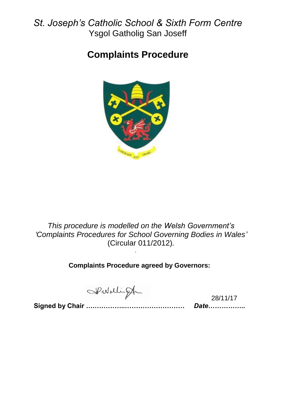# *St. Joseph's Catholic School & Sixth Form Centre* Ysgol Gatholig San Joseff

# **Complaints Procedure**



*This procedure is modelled on the Welsh Government's 'Complaints Procedures for School Governing Bodies in Wales'* (Circular 011/2012)*.*

**Complaints Procedure agreed by Governors:**

*.*

Spoblingh

28/11/17

**Signed by Chair ….…………..………………………** *Date……………..*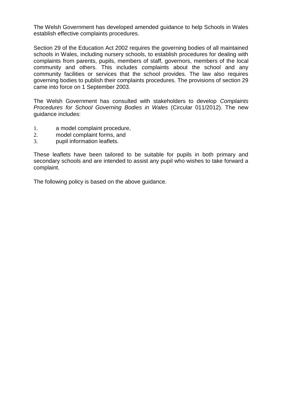The Welsh Government has developed amended guidance to help Schools in Wales establish effective complaints procedures.

Section 29 of the Education Act 2002 requires the governing bodies of all maintained schools in Wales, including nursery schools, to establish procedures for dealing with complaints from parents, pupils, members of staff, governors, members of the local community and others. This includes complaints about the school and any community facilities or services that the school provides. The law also requires governing bodies to publish their complaints procedures. The provisions of section 29 came into force on 1 September 2003.

The Welsh Government has consulted with stakeholders to develop *Complaints Procedures for School Governing Bodies in Wales* (Circular 011/2012). The new guidance includes:

- 1. a model complaint procedure,
- 2. model complaint forms, and
- 3. pupil information leaflets.

These leaflets have been tailored to be suitable for pupils in both primary and secondary schools and are intended to assist any pupil who wishes to take forward a complaint.

The following policy is based on the above guidance.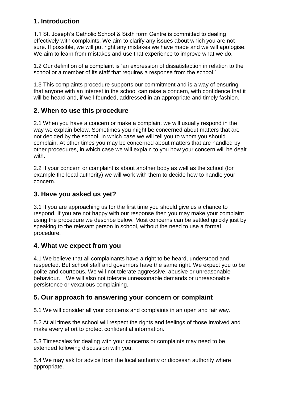### **1. Introduction**

1.1 St. Joseph's Catholic School & Sixth form Centre is committed to dealing effectively with complaints. We aim to clarify any issues about which you are not sure. If possible, we will put right any mistakes we have made and we will apologise. We aim to learn from mistakes and use that experience to improve what we do.

1.2 Our definition of a complaint is 'an expression of dissatisfaction in relation to the school or a member of its staff that requires a response from the school.'

1.3 This complaints procedure supports our commitment and is a way of ensuring that anyone with an interest in the school can raise a concern, with confidence that it will be heard and, if well-founded, addressed in an appropriate and timely fashion.

### **2. When to use this procedure**

2.1 When you have a concern or make a complaint we will usually respond in the way we explain below. Sometimes you might be concerned about matters that are not decided by the school, in which case we will tell you to whom you should complain. At other times you may be concerned about matters that are handled by other procedures, in which case we will explain to you how your concern will be dealt with.

2.2 If your concern or complaint is about another body as well as the school (for example the local authority) we will work with them to decide how to handle your concern.

### **3. Have you asked us yet?**

3.1 If you are approaching us for the first time you should give us a chance to respond. If you are not happy with our response then you may make your complaint using the procedure we describe below. Most concerns can be settled quickly just by speaking to the relevant person in school, without the need to use a formal procedure.

### **4. What we expect from you**

4.1 We believe that all complainants have a right to be heard, understood and respected. But school staff and governors have the same right. We expect you to be polite and courteous. We will not tolerate aggressive, abusive or unreasonable behaviour. We will also not tolerate unreasonable demands or unreasonable persistence or vexatious complaining.

### **5. Our approach to answering your concern or complaint**

5.1 We will consider all your concerns and complaints in an open and fair way.

5.2 At all times the school will respect the rights and feelings of those involved and make every effort to protect confidential information.

5.3 Timescales for dealing with your concerns or complaints may need to be extended following discussion with you.

5.4 We may ask for advice from the local authority or diocesan authority where appropriate.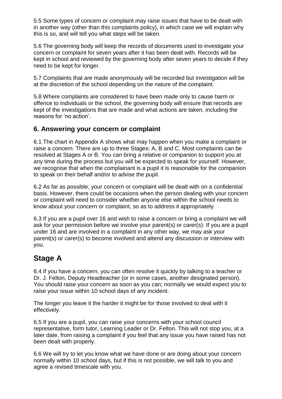5.5 Some types of concern or complaint may raise issues that have to be dealt with in another way (other than this complaints policy), in which case we will explain why this is so, and will tell you what steps will be taken.

5.6 The governing body will keep the records of documents used to investigate your concern or complaint for seven years after it has been dealt with. Records will be kept in school and reviewed by the governing body after seven years to decide if they need to be kept for longer.

5.7 Complaints that are made anonymously will be recorded but investigation will be at the discretion of the school depending on the nature of the complaint.

5.8 Where complaints are considered to have been made only to cause harm or offence to individuals or the school, the governing body will ensure that records are kept of the investigations that are made and what actions are taken, including the reasons for 'no action'.

### **6. Answering your concern or complaint**

6.1 The chart in Appendix A shows what may happen when you make a complaint or raise a concern. There are up to three Stages: A, B and C. Most complaints can be resolved at Stages A or B. You can bring a relative or companion to support you at any time during the process but you will be expected to speak for yourself. However, we recognise that when the complainant is a pupil it is reasonable for the companion to speak on their behalf and/or to advise the pupil.

6.2 As far as possible, your concern or complaint will be dealt with on a confidential basis. However, there could be occasions when the person dealing with your concern or complaint will need to consider whether anyone else within the school needs to know about your concern or complaint, so as to address it appropriately.

6.3 If you are a pupil over 16 and wish to raise a concern or bring a complaint we will ask for your permission before we involve your parent(s) or carer(s). If you are a pupil under 16 and are involved in a complaint in any other way, we may ask your parent(s) or carer(s) to become involved and attend any discussion or interview with you.

## **Stage A**

6.4 If you have a concern, you can often resolve it quickly by talking to a teacher or Dr. J. Felton, Deputy Headteacher (or in some cases, another designated person). You should raise your concern as soon as you can; normally we would expect you to raise your issue within 10 school days of any incident.

The longer you leave it the harder it might be for those involved to deal with it effectively.

6.5 If you are a pupil, you can raise your concerns with your school council representative, form tutor, Learning Leader or Dr. Felton. This will not stop you, at a later date, from raising a complaint if you feel that any issue you have raised has not been dealt with properly.

6.6 We will try to let you know what we have done or are doing about your concern normally within 10 school days, but if this is not possible, we will talk to you and agree a revised timescale with you.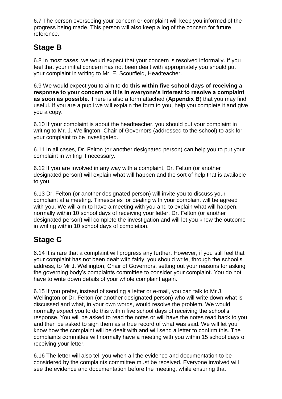6.7 The person overseeing your concern or complaint will keep you informed of the progress being made. This person will also keep a log of the concern for future reference.

## **Stage B**

6.8 In most cases, we would expect that your concern is resolved informally. If you feel that your initial concern has not been dealt with appropriately you should put your complaint in writing to Mr. E. Scourfield, Headteacher.

6.9 We would expect you to aim to do **this within five school days of receiving a response to your concern as it is in everyone's interest to resolve a complaint as soon as possible**. There is also a form attached (**Appendix B**) that you may find useful. If you are a pupil we will explain the form to you, help you complete it and give you a copy.

6.10 If your complaint is about the headteacher, you should put your complaint in writing to Mr. J. Wellington, Chair of Governors (addressed to the school) to ask for your complaint to be investigated.

6.11 In all cases, Dr. Felton (or another designated person) can help you to put your complaint in writing if necessary.

6.12 If you are involved in any way with a complaint, Dr. Felton (or another designated person) will explain what will happen and the sort of help that is available to you.

6.13 Dr. Felton (or another designated person) will invite you to discuss your complaint at a meeting. Timescales for dealing with your complaint will be agreed with you. We will aim to have a meeting with you and to explain what will happen, normally within 10 school days of receiving your letter. Dr. Felton (or another designated person) will complete the investigation and will let you know the outcome in writing within 10 school days of completion.

# **Stage C**

6.14 It is rare that a complaint will progress any further. However, if you still feel that your complaint has not been dealt with fairly, you should write, through the school's address, to Mr J. Wellington, Chair of Governors, setting out your reasons for asking the governing body's complaints committee to consider your complaint. You do not have to write down details of your whole complaint again.

6.15 If you prefer, instead of sending a letter or e-mail, you can talk to Mr J. Wellington or Dr. Felton (or another designated person) who will write down what is discussed and what, in your own words, would resolve the problem. We would normally expect you to do this within five school days of receiving the school's response. You will be asked to read the notes or will have the notes read back to you and then be asked to sign them as a true record of what was said. We will let you know how the complaint will be dealt with and will send a letter to confirm this. The complaints committee will normally have a meeting with you within 15 school days of receiving your letter.

6.16 The letter will also tell you when all the evidence and documentation to be considered by the complaints committee must be received. Everyone involved will see the evidence and documentation before the meeting, while ensuring that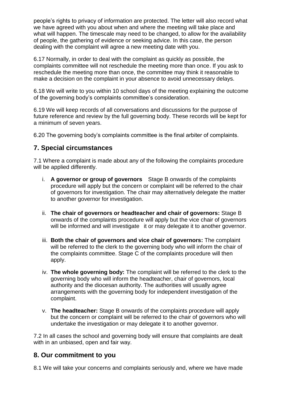people's rights to privacy of information are protected. The letter will also record what we have agreed with you about when and where the meeting will take place and what will happen. The timescale may need to be changed, to allow for the availability of people, the gathering of evidence or seeking advice. In this case, the person dealing with the complaint will agree a new meeting date with you.

6.17 Normally, in order to deal with the complaint as quickly as possible, the complaints committee will not reschedule the meeting more than once. If you ask to reschedule the meeting more than once, the committee may think it reasonable to make a decision on the complaint in your absence to avoid unnecessary delays.

6.18 We will write to you within 10 school days of the meeting explaining the outcome of the governing body's complaints committee's consideration.

6.19 We will keep records of all conversations and discussions for the purpose of future reference and review by the full governing body. These records will be kept for a minimum of seven years.

6.20 The governing body's complaints committee is the final arbiter of complaints.

### **7. Special circumstances**

7.1 Where a complaint is made about any of the following the complaints procedure will be applied differently.

- i. **A governor or group of governors** Stage B onwards of the complaints procedure will apply but the concern or complaint will be referred to the chair of governors for investigation. The chair may alternatively delegate the matter to another governor for investigation.
- ii. **The chair of governors or headteacher and chair of governors:** Stage B onwards of the complaints procedure will apply but the vice chair of governors will be informed and will investigate it or may delegate it to another governor.
- iii. **Both the chair of governors and vice chair of governors:** The complaint will be referred to the clerk to the governing body who will inform the chair of the complaints committee. Stage C of the complaints procedure will then apply.
- iv. **The whole governing body:** The complaint will be referred to the clerk to the governing body who will inform the headteacher, chair of governors, local authority and the diocesan authority. The authorities will usually agree arrangements with the governing body for independent investigation of the complaint.
- v. **The headteacher:** Stage B onwards of the complaints procedure will apply but the concern or complaint will be referred to the chair of governors who will undertake the investigation or may delegate it to another governor.

7.2 In all cases the school and governing body will ensure that complaints are dealt with in an unbiased, open and fair way.

### **8. Our commitment to you**

8.1 We will take your concerns and complaints seriously and, where we have made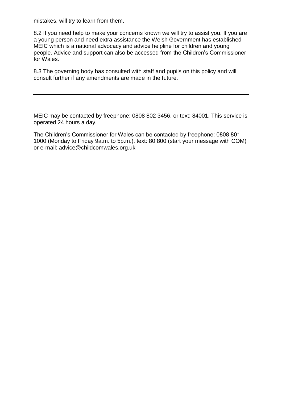mistakes, will try to learn from them.

8.2 If you need help to make your concerns known we will try to assist you. If you are a young person and need extra assistance the Welsh Government has established MEIC which is a national advocacy and advice helpline for children and young people. Advice and support can also be accessed from the Children's Commissioner for Wales.

8.3 The governing body has consulted with staff and pupils on this policy and will consult further if any amendments are made in the future.

MEIC may be contacted by freephone: 0808 802 3456, or text: 84001. This service is operated 24 hours a day.

The Children's Commissioner for Wales can be contacted by freephone: 0808 801 1000 (Monday to Friday 9a.m. to 5p.m.), text: 80 800 (start your message with COM) or e-mail: advice@childcomwales.org.uk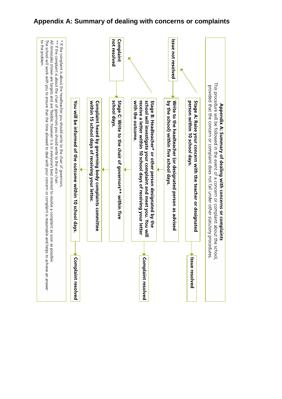

### **Appendix A: Summary of dealing with concerns or complaints**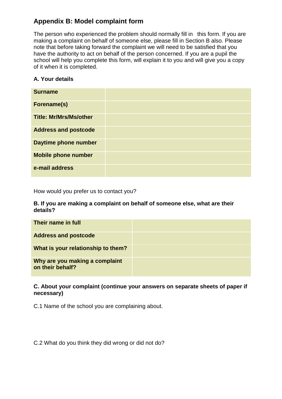### **Appendix B: Model complaint form**

The person who experienced the problem should normally fill in this form. If you are making a complaint on behalf of someone else, please fill in Section B also. Please note that before taking forward the complaint we will need to be satisfied that you have the authority to act on behalf of the person concerned. If you are a pupil the school will help you complete this form, will explain it to you and will give you a copy of it when it is completed.

### **A. Your details**

| <b>Surname</b>                |  |
|-------------------------------|--|
| Forename(s)                   |  |
| <b>Title: Mr/Mrs/Ms/other</b> |  |
| <b>Address and postcode</b>   |  |
| Daytime phone number          |  |
| <b>Mobile phone number</b>    |  |
| e-mail address                |  |

How would you prefer us to contact you?

#### **B. If you are making a complaint on behalf of someone else, what are their details?**

| Their name in full                                 |  |
|----------------------------------------------------|--|
| <b>Address and postcode</b>                        |  |
| What is your relationship to them?                 |  |
| Why are you making a complaint<br>on their behalf? |  |

#### **C. About your complaint (continue your answers on separate sheets of paper if necessary)**

C.1 Name of the school you are complaining about.

C.2 What do you think they did wrong or did not do?